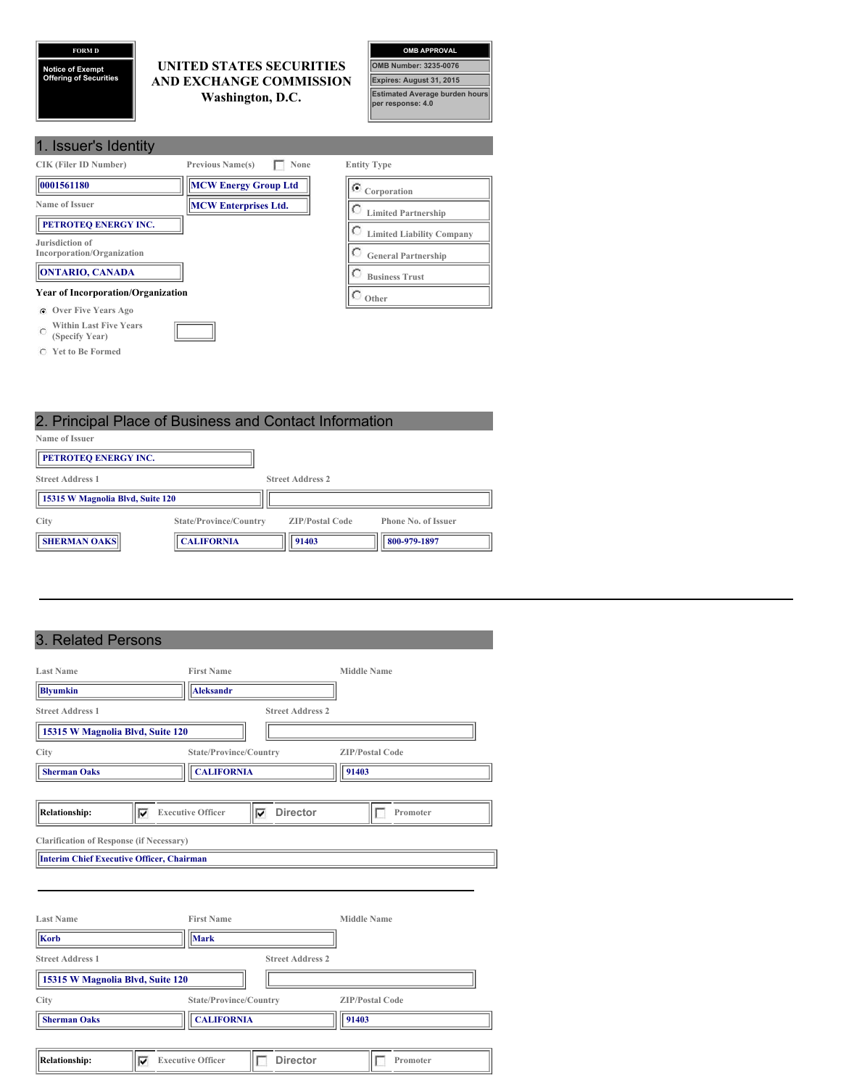# **FORM D**

**Notice of Exempt Offering of Securities**

## **UNITED STATES SECURITIES AND EXCHANGE COMMISSION Washington, D.C.**



| 1. Issuer's Identity                                        |                                 |                                  |
|-------------------------------------------------------------|---------------------------------|----------------------------------|
| <b>CIK (Filer ID Number)</b>                                | <b>Previous Name(s)</b><br>None | <b>Entity Type</b>               |
| 0001561180                                                  | <b>MCW Energy Group Ltd</b>     | $\sigma$ Corporation             |
| Name of Issuer                                              | <b>MCW Enterprises Ltd.</b>     | <b>Limited Partnership</b>       |
| PETROTEQ ENERGY INC.<br>Jurisdiction of                     |                                 | <b>Limited Liability Company</b> |
| Incorporation/Organization                                  |                                 | <b>General Partnership</b>       |
| <b>ONTARIO, CANADA</b>                                      |                                 | <b>Business Trust</b>            |
| <b>Year of Incorporation/Organization</b>                   |                                 | Other                            |
| <b>C</b> Over Five Years Ago                                |                                 |                                  |
| <b>Within Last Five Years</b><br>$\Gamma$<br>(Specify Year) |                                 |                                  |

**Yet to Be Formed**

# 2. Principal Place of Business and Contact Information **Name of Issuer PETROTEQ ENERGY INC. Street Address 1 Street Address 2**

| 15315 W Magnolia Blvd, Suite 120 |                        |                        |                            |
|----------------------------------|------------------------|------------------------|----------------------------|
| City                             | State/Province/Country | <b>ZIP/Postal Code</b> | <b>Phone No. of Issuer</b> |
| <b>SHERMAN OAKS</b>              | <b>CALIFORNIA</b>      | 91403                  | 800-979-1897               |

# 3. Related Persons

| <b>Last Name</b>                                              |   | <b>First Name</b>             |                         | <b>Middle Name</b>     |
|---------------------------------------------------------------|---|-------------------------------|-------------------------|------------------------|
| <b>Blyumkin</b>                                               |   | <b>Aleksandr</b>              |                         |                        |
| <b>Street Address 1</b>                                       |   |                               | <b>Street Address 2</b> |                        |
| 15315 W Magnolia Blvd, Suite 120                              |   |                               |                         |                        |
| City                                                          |   | State/Province/Country        |                         | <b>ZIP/Postal Code</b> |
| <b>Sherman Oaks</b>                                           |   | <b>CALIFORNIA</b>             |                         | 91403                  |
|                                                               |   |                               |                         |                        |
| <b>Relationship:</b>                                          | ⊽ | <b>Executive Officer</b><br>⊽ | <b>Director</b>         | Promoter               |
| Interim Chief Executive Officer, Chairman<br><b>Last Name</b> |   | <b>First Name</b>             |                         | <b>Middle Name</b>     |
| Korb                                                          |   | <b>Mark</b>                   |                         |                        |
| <b>Street Address 1</b><br>15315 W Magnolia Blvd, Suite 120   |   |                               | <b>Street Address 2</b> |                        |
| City                                                          |   | State/Province/Country        |                         | <b>ZIP/Postal Code</b> |
| <b>Sherman Oaks</b>                                           |   | <b>CALIFORNIA</b>             |                         | 91403                  |
| <b>Relationship:</b>                                          | ⊽ | <b>Executive Officer</b>      | <b>Director</b>         | Promoter               |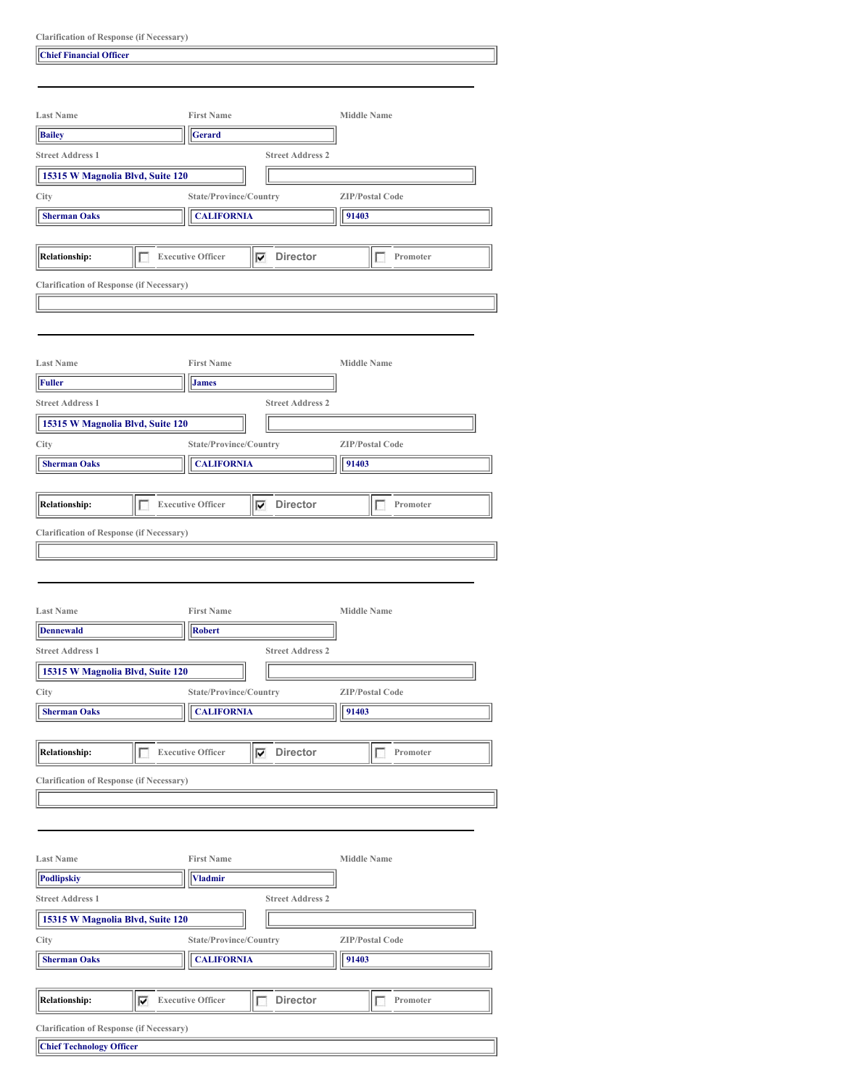| <b>Clarification of Response (if Necessary)</b> |  |  |  |  |
|-------------------------------------------------|--|--|--|--|
|-------------------------------------------------|--|--|--|--|

| <b>Last Name</b>                                                                                                                                                                                                        |   | <b>First Name</b>        |                         | <b>Middle Name</b>     |  |
|-------------------------------------------------------------------------------------------------------------------------------------------------------------------------------------------------------------------------|---|--------------------------|-------------------------|------------------------|--|
| <b>Bailey</b>                                                                                                                                                                                                           |   | Gerard                   |                         |                        |  |
|                                                                                                                                                                                                                         |   |                          |                         |                        |  |
| <b>Street Address 1</b>                                                                                                                                                                                                 |   |                          | <b>Street Address 2</b> |                        |  |
| 15315 W Magnolia Blvd, Suite 120                                                                                                                                                                                        |   |                          |                         |                        |  |
| City                                                                                                                                                                                                                    |   | State/Province/Country   |                         | <b>ZIP/Postal Code</b> |  |
| <b>Sherman Oaks</b>                                                                                                                                                                                                     |   | <b>CALIFORNIA</b>        |                         | 91403                  |  |
|                                                                                                                                                                                                                         |   |                          |                         |                        |  |
| <b>Relationship:</b>                                                                                                                                                                                                    | г | <b>Executive Officer</b> | $\nabla$ Director       | Promoter<br>т          |  |
|                                                                                                                                                                                                                         |   |                          |                         |                        |  |
| <b>Clarification of Response (if Necessary)</b>                                                                                                                                                                         |   |                          |                         |                        |  |
|                                                                                                                                                                                                                         |   |                          |                         |                        |  |
|                                                                                                                                                                                                                         |   |                          |                         |                        |  |
|                                                                                                                                                                                                                         |   |                          |                         |                        |  |
| <b>Last Name</b>                                                                                                                                                                                                        |   | <b>First Name</b>        |                         | <b>Middle Name</b>     |  |
| Fuller                                                                                                                                                                                                                  |   | <b>James</b>             |                         |                        |  |
| <b>Street Address 1</b>                                                                                                                                                                                                 |   |                          | <b>Street Address 2</b> |                        |  |
| 15315 W Magnolia Blvd, Suite 120                                                                                                                                                                                        |   |                          |                         |                        |  |
| City                                                                                                                                                                                                                    |   | State/Province/Country   |                         | <b>ZIP/Postal Code</b> |  |
| <b>Sherman Oaks</b>                                                                                                                                                                                                     |   | <b>CALIFORNIA</b>        |                         | 91403                  |  |
|                                                                                                                                                                                                                         |   |                          |                         |                        |  |
|                                                                                                                                                                                                                         |   |                          |                         |                        |  |
| <b>Relationship:</b>                                                                                                                                                                                                    | г | <b>Executive Officer</b> | <b>Director</b><br>⊽    | Promoter<br>L          |  |
|                                                                                                                                                                                                                         |   |                          |                         |                        |  |
|                                                                                                                                                                                                                         |   |                          |                         |                        |  |
|                                                                                                                                                                                                                         |   | <b>First Name</b>        |                         | <b>Middle Name</b>     |  |
|                                                                                                                                                                                                                         |   | <b>Robert</b>            |                         |                        |  |
|                                                                                                                                                                                                                         |   |                          | <b>Street Address 2</b> |                        |  |
| 15315 W Magnolia Blvd, Suite 120                                                                                                                                                                                        |   |                          |                         |                        |  |
|                                                                                                                                                                                                                         |   | State/Province/Country   |                         | <b>ZIP/Postal Code</b> |  |
|                                                                                                                                                                                                                         |   |                          |                         |                        |  |
| <b>Sherman Oaks</b>                                                                                                                                                                                                     |   | <b>CALIFORNIA</b>        |                         | 91403                  |  |
|                                                                                                                                                                                                                         |   |                          |                         |                        |  |
|                                                                                                                                                                                                                         | Г | <b>Executive Officer</b> | Director<br>⊽           | Promoter<br>4          |  |
|                                                                                                                                                                                                                         |   |                          |                         |                        |  |
|                                                                                                                                                                                                                         |   |                          |                         |                        |  |
|                                                                                                                                                                                                                         |   |                          |                         |                        |  |
|                                                                                                                                                                                                                         |   |                          |                         |                        |  |
|                                                                                                                                                                                                                         |   | <b>First Name</b>        |                         | <b>Middle Name</b>     |  |
|                                                                                                                                                                                                                         |   |                          |                         |                        |  |
|                                                                                                                                                                                                                         |   | <b>Vladmir</b>           |                         |                        |  |
|                                                                                                                                                                                                                         |   |                          | <b>Street Address 2</b> |                        |  |
| 15315 W Magnolia Blvd, Suite 120                                                                                                                                                                                        |   |                          |                         |                        |  |
| <b>Last Name</b><br>Dennewald<br><b>Street Address 1</b><br>City<br><b>Relationship:</b><br><b>Clarification of Response (if Necessary)</b><br><b>Last Name</b><br><b>Podlipskiy</b><br><b>Street Address 1</b><br>City |   | State/Province/Country   |                         | <b>ZIP/Postal Code</b> |  |
| <b>Sherman Oaks</b>                                                                                                                                                                                                     |   | <b>CALIFORNIA</b>        |                         | 91403                  |  |
|                                                                                                                                                                                                                         |   |                          |                         |                        |  |
| <b>Relationship:</b>                                                                                                                                                                                                    | ⊽ | <b>Executive Officer</b> | Director<br>г           | Promoter<br>г          |  |

| <b>Chief Technology Officer</b> |  |
|---------------------------------|--|
|---------------------------------|--|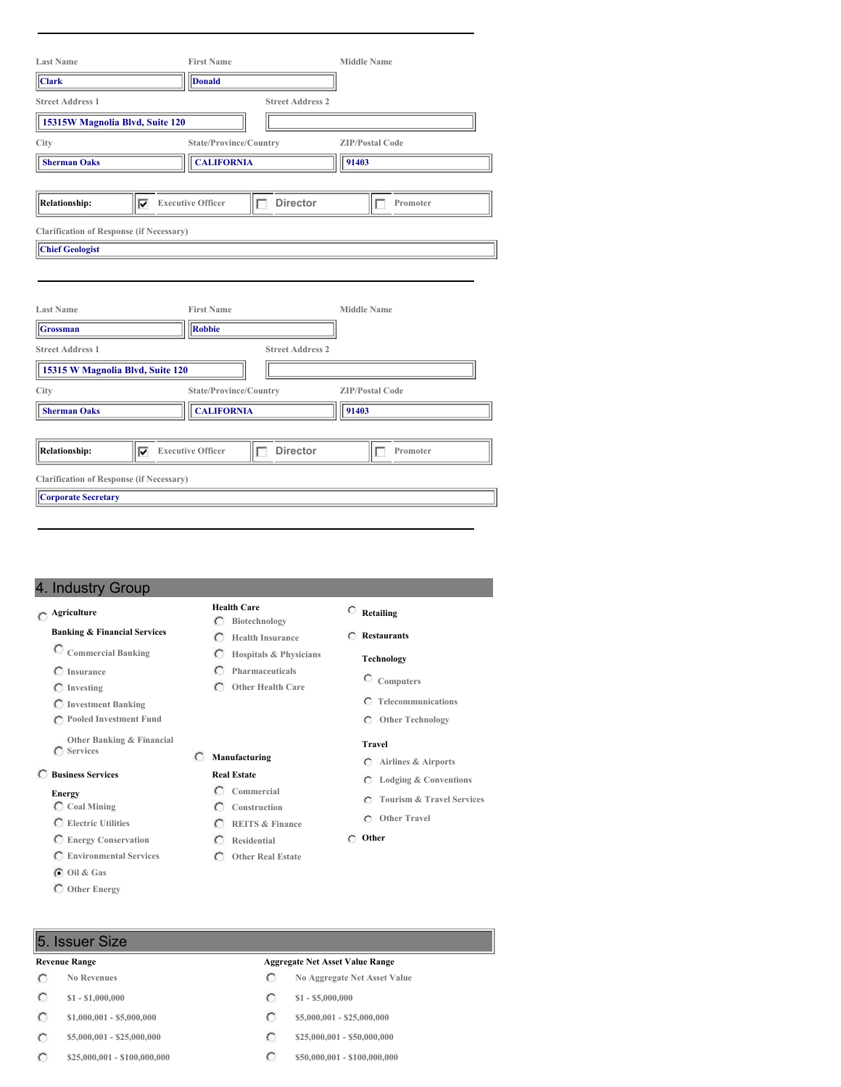| <b>Last Name</b>                                |   | <b>First Name</b>                  |                         | <b>Middle Name</b>     |  |
|-------------------------------------------------|---|------------------------------------|-------------------------|------------------------|--|
| <b>Clark</b>                                    |   | <b>Donald</b>                      |                         |                        |  |
| <b>Street Address 1</b>                         |   |                                    | <b>Street Address 2</b> |                        |  |
| 15315W Magnolia Blvd, Suite 120                 |   |                                    |                         |                        |  |
| City                                            |   | State/Province/Country             |                         | <b>ZIP/Postal Code</b> |  |
| <b>Sherman Oaks</b>                             |   | <b>CALIFORNIA</b>                  |                         | 91403                  |  |
|                                                 |   |                                    |                         |                        |  |
| <b>Relationship:</b>                            | ⊽ | <b>Executive Officer</b>           | <b>Director</b><br>г    | Promoter<br>г          |  |
| <b>Clarification of Response (if Necessary)</b> |   |                                    |                         |                        |  |
| <b>Chief Geologist</b>                          |   |                                    |                         |                        |  |
| <b>Last Name</b><br><b>Grossman</b>             |   | <b>First Name</b><br><b>Robbie</b> |                         | <b>Middle Name</b>     |  |
| <b>Street Address 1</b>                         |   |                                    | <b>Street Address 2</b> |                        |  |
| 15315 W Magnolia Blvd, Suite 120                |   |                                    |                         |                        |  |
| City                                            |   | State/Province/Country             |                         | <b>ZIP/Postal Code</b> |  |
| <b>Sherman Oaks</b>                             |   | <b>CALIFORNIA</b>                  |                         | 91403                  |  |
|                                                 |   |                                    |                         |                        |  |
| <b>Relationship:</b>                            | ⊽ | <b>Executive Officer</b>           | <b>Director</b><br>г    | Promoter<br>п          |  |
| <b>Clarification of Response (if Necessary)</b> |   |                                    |                         |                        |  |
| <b>Corporate Secretary</b>                      |   |                                    |                         |                        |  |
|                                                 |   |                                    |                         |                        |  |

# 4. Industry Group

# **Agriculture**

## **Banking & Financial Services**

- **Commercial Banking**
- **Insurance**
- **Investing**
- **Investment Banking**
- **Pooled Investment Fund**
- **Other Banking & Financial Services**

# **Business Services**

### **Energy**

- **Coal Mining**
- **Electric Utilities**
- **Energy Conservation Environmental Services**
- 
- **Oil & Gas**
- **Other Energy**
- **Retailing**
- **Restaurants**
- -
	- **Telecommunications**
	- **Other Technology**

#### **Travel**

- 
- 
- 
- 

#### **Other**

**Manufacturing Real Estate Commercial Construction REITS & Finance Residential Other Real Estate**

**Health Care Biotechnology Health Insurance**

**Pharmaceuticals Other Health Care**

- 
- **Revenue Range Aggregate Net Asset Value Range**
	- **No Revenues No Aggregate Net Asset Value**
	- **\$1 - \$1,000,000 \$1 - \$5,000,000**
	- **\$1,000,001 - \$5,000,000 \$5,000,000 \$5,000,001 \$25,000,000**
	- **\$5,000,001 - \$25,000,000 \$25,000,000 \$25,000,000 \$25,000,000**
	- **\$25,000,001 - \$100,000,000 \$50,000,001 - \$100,000,000**

# 5. Issuer Size

## $\circ$

- $\circ$
- $\circ$
- $\circ$
- $\circ$

# **Hospitals & Physicians**

- **Technology**
	- **Computers**
	-
	-
	-

### **Airlines & Airports**

- **Lodging & Conventions**
- **Tourism & Travel Services**
- **Other Travel**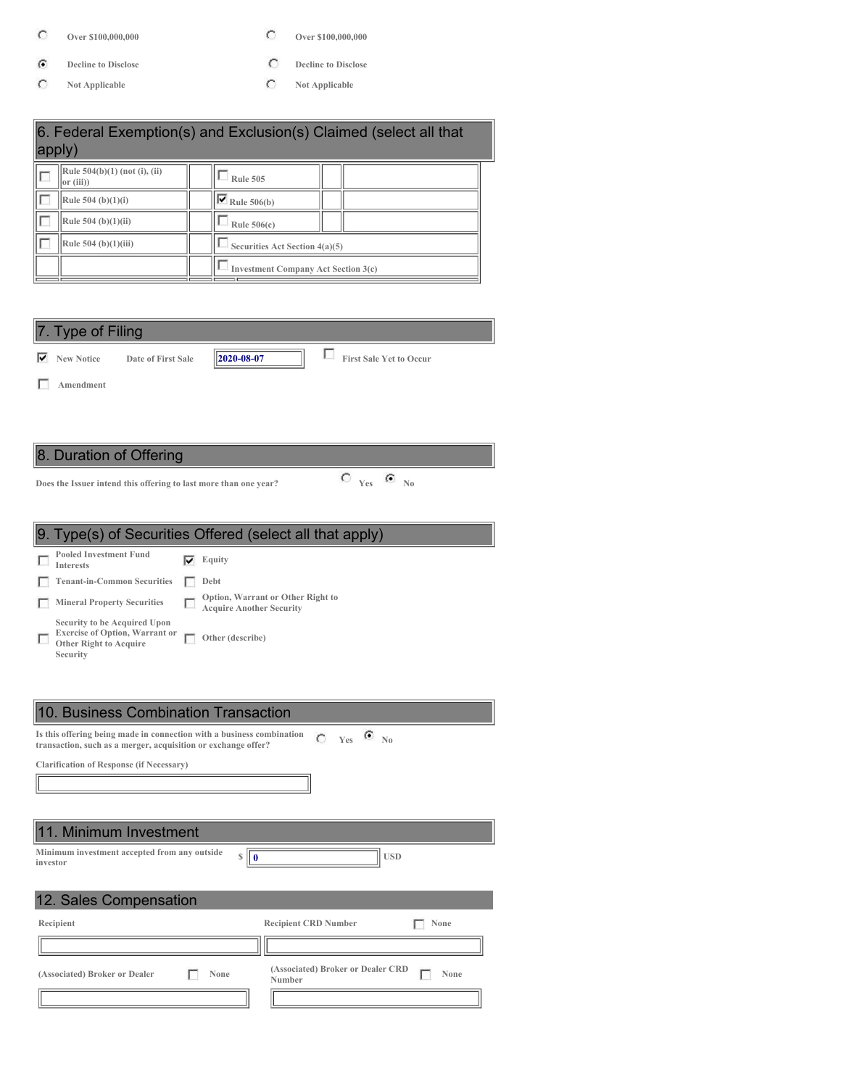- $\mathbf C$
- $\widehat{\mathbf{G}}$ **Decline to Disclose Decline to Disclose**
- $\circ$
- **Over \$100,000,000 Over \$100,000,000**
	-
	- **Not Applicable Not Applicable**

|                                                                                                                                        | 6. Federal Exemption(s) and Exclusion(s) Claimed (select all that |
|----------------------------------------------------------------------------------------------------------------------------------------|-------------------------------------------------------------------|
| apply)                                                                                                                                 |                                                                   |
| Rule $504(b)(1)$ (not (i), (ii)<br>г<br>or (iii))                                                                                      | $\Box$ Rule 505                                                   |
| Rule 504 (b) $(1)(i)$                                                                                                                  | $\triangledown$ Rule 506(b)                                       |
| Rule 504 (b)(1)(ii)                                                                                                                    | Rule $506(c)$                                                     |
| Rule 504 (b)(1)(iii)                                                                                                                   | Securities Act Section 4(a)(5)                                    |
|                                                                                                                                        | <b>Investment Company Act Section 3(c)</b>                        |
|                                                                                                                                        |                                                                   |
|                                                                                                                                        |                                                                   |
| 7. Type of Filing                                                                                                                      |                                                                   |
| <b>V</b> New Notice<br>Date of First Sale                                                                                              | 2020-08-07<br><b>First Sale Yet to Occur</b>                      |
| Amendment                                                                                                                              |                                                                   |
|                                                                                                                                        |                                                                   |
|                                                                                                                                        |                                                                   |
| 8. Duration of Offering                                                                                                                |                                                                   |
| Does the Issuer intend this offering to last more than one year?                                                                       | $C_{Yes}$ $C_{N0}$                                                |
|                                                                                                                                        |                                                                   |
|                                                                                                                                        | 9. Type(s) of Securities Offered (select all that apply)          |
| <b>Pooled Investment Fund</b>                                                                                                          | $\overline{\mathbf{v}}$ Equity                                    |
| <b>Interests</b><br><b>Tenant-in-Common Securities</b><br>п                                                                            | Debt                                                              |
| Mineral Property Securities                                                                                                            | Option, Warrant or Other Right to                                 |
| Security to be Acquired Upon                                                                                                           | <b>Acquire Another Security</b>                                   |
| <b>Exercise of Option, Warrant or</b><br>г<br>П<br><b>Other Right to Acquire</b><br>Security                                           | Other (describe)                                                  |
|                                                                                                                                        |                                                                   |
|                                                                                                                                        |                                                                   |
|                                                                                                                                        |                                                                   |
| 10. Business Combination Transaction                                                                                                   |                                                                   |
| Is this offering being made in connection with a business combination<br>transaction, such as a merger, acquisition or exchange offer? | $\bullet$ No<br>$C$ Yes                                           |
| <b>Clarification of Response (if Necessary)</b>                                                                                        |                                                                   |

| 11. Minimum Investment                                   |      |                                                     |
|----------------------------------------------------------|------|-----------------------------------------------------|
| Minimum investment accepted from any outside<br>investor | S    | <b>USD</b>                                          |
| 12. Sales Compensation                                   |      |                                                     |
| Recipient                                                |      | <b>Recipient CRD Number</b><br>None                 |
|                                                          |      |                                                     |
| (Associated) Broker or Dealer                            | None | (Associated) Broker or Dealer CRD<br>None<br>Number |
|                                                          |      |                                                     |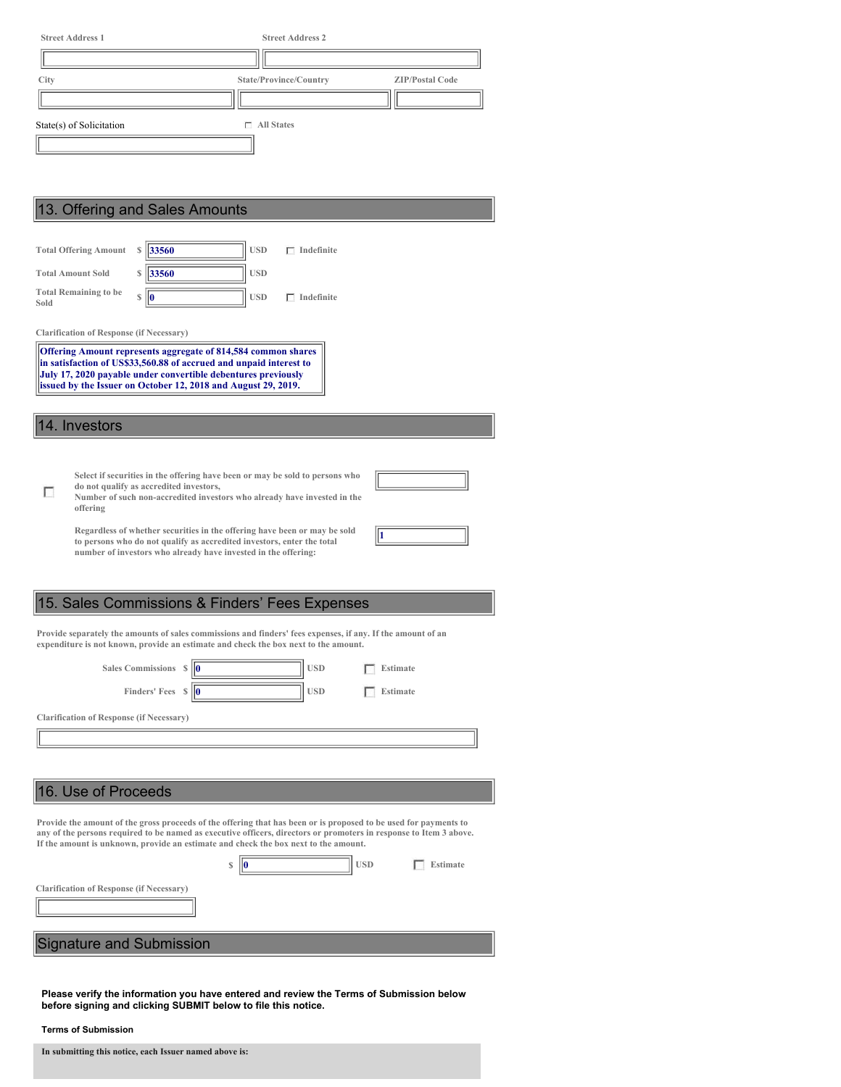| City                         |          |                                                 |                                                                                                                                     | State/Province/Country                                                                                                                                                                                                                 |            | <b>ZIP/Postal Code</b> |  |
|------------------------------|----------|-------------------------------------------------|-------------------------------------------------------------------------------------------------------------------------------------|----------------------------------------------------------------------------------------------------------------------------------------------------------------------------------------------------------------------------------------|------------|------------------------|--|
|                              |          |                                                 |                                                                                                                                     |                                                                                                                                                                                                                                        |            |                        |  |
| State(s) of Solicitation     |          |                                                 |                                                                                                                                     | $\Box$ All States                                                                                                                                                                                                                      |            |                        |  |
|                              |          |                                                 |                                                                                                                                     |                                                                                                                                                                                                                                        |            |                        |  |
|                              |          |                                                 |                                                                                                                                     |                                                                                                                                                                                                                                        |            |                        |  |
|                              |          |                                                 |                                                                                                                                     |                                                                                                                                                                                                                                        |            |                        |  |
|                              |          | 13. Offering and Sales Amounts                  |                                                                                                                                     |                                                                                                                                                                                                                                        |            |                        |  |
| <b>Total Offering Amount</b> |          | S<br>33560                                      | <b>USD</b>                                                                                                                          | $\Box$ Indefinite                                                                                                                                                                                                                      |            |                        |  |
| <b>Total Amount Sold</b>     |          | 33560<br>S                                      | <b>USD</b>                                                                                                                          |                                                                                                                                                                                                                                        |            |                        |  |
| <b>Total Remaining to be</b> |          |                                                 |                                                                                                                                     |                                                                                                                                                                                                                                        |            |                        |  |
| Sold                         |          | $\mathbb{S}$<br>lo                              | <b>USD</b>                                                                                                                          | $\Box$ Indefinite                                                                                                                                                                                                                      |            |                        |  |
|                              |          | <b>Clarification of Response (if Necessary)</b> |                                                                                                                                     |                                                                                                                                                                                                                                        |            |                        |  |
|                              |          |                                                 | <b>Offering Amount represents aggregate of 814,584 common shares</b>                                                                |                                                                                                                                                                                                                                        |            |                        |  |
|                              |          |                                                 | in satisfaction of US\$33,560.88 of accrued and unpaid interest to<br>July 17, 2020 payable under convertible debentures previously |                                                                                                                                                                                                                                        |            |                        |  |
|                              |          |                                                 | issued by the Issuer on October 12, 2018 and August 29, 2019.                                                                       |                                                                                                                                                                                                                                        |            |                        |  |
|                              |          |                                                 |                                                                                                                                     |                                                                                                                                                                                                                                        |            |                        |  |
| 14. Investors                |          |                                                 |                                                                                                                                     |                                                                                                                                                                                                                                        |            |                        |  |
|                              |          |                                                 |                                                                                                                                     |                                                                                                                                                                                                                                        |            |                        |  |
|                              |          |                                                 |                                                                                                                                     |                                                                                                                                                                                                                                        |            |                        |  |
|                              |          |                                                 |                                                                                                                                     |                                                                                                                                                                                                                                        |            |                        |  |
|                              |          | do not qualify as accredited investors,         |                                                                                                                                     | Select if securities in the offering have been or may be sold to persons who                                                                                                                                                           |            |                        |  |
| г                            | offering |                                                 |                                                                                                                                     | Number of such non-accredited investors who already have invested in the                                                                                                                                                               |            |                        |  |
|                              |          |                                                 |                                                                                                                                     | Regardless of whether securities in the offering have been or may be sold                                                                                                                                                              |            |                        |  |
|                              |          |                                                 | number of investors who already have invested in the offering:                                                                      | to persons who do not qualify as accredited investors, enter the total                                                                                                                                                                 | 1          |                        |  |
|                              |          |                                                 |                                                                                                                                     |                                                                                                                                                                                                                                        |            |                        |  |
|                              |          |                                                 |                                                                                                                                     |                                                                                                                                                                                                                                        |            |                        |  |
|                              |          |                                                 |                                                                                                                                     | 15. Sales Commissions & Finders' Fees Expenses                                                                                                                                                                                         |            |                        |  |
|                              |          |                                                 |                                                                                                                                     | Provide separately the amounts of sales commissions and finders' fees expenses, if any. If the amount of an                                                                                                                            |            |                        |  |
|                              |          |                                                 |                                                                                                                                     | expenditure is not known, provide an estimate and check the box next to the amount.                                                                                                                                                    |            |                        |  |
|                              |          | Sales Commissions \$                            |                                                                                                                                     | <b>USD</b>                                                                                                                                                                                                                             |            | <b>Estimate</b>        |  |
|                              |          | Finders' Fees \$                                |                                                                                                                                     | <b>USD</b>                                                                                                                                                                                                                             |            | <b>Estimate</b>        |  |
|                              |          |                                                 |                                                                                                                                     |                                                                                                                                                                                                                                        |            |                        |  |
|                              |          | <b>Clarification of Response (if Necessary)</b> |                                                                                                                                     |                                                                                                                                                                                                                                        |            |                        |  |
|                              |          |                                                 |                                                                                                                                     |                                                                                                                                                                                                                                        |            |                        |  |
|                              |          |                                                 |                                                                                                                                     |                                                                                                                                                                                                                                        |            |                        |  |
|                              |          |                                                 |                                                                                                                                     |                                                                                                                                                                                                                                        |            |                        |  |
| 16. Use of Proceeds          |          |                                                 |                                                                                                                                     |                                                                                                                                                                                                                                        |            |                        |  |
|                              |          |                                                 |                                                                                                                                     | Provide the amount of the gross proceeds of the offering that has been or is proposed to be used for payments to<br>any of the persons required to be named as executive officers, directors or promoters in response to Item 3 above. |            |                        |  |
|                              |          |                                                 |                                                                                                                                     | If the amount is unknown, provide an estimate and check the box next to the amount.                                                                                                                                                    |            |                        |  |
|                              |          |                                                 | \$                                                                                                                                  |                                                                                                                                                                                                                                        | <b>USD</b> | Estimate               |  |
|                              |          | <b>Clarification of Response (if Necessary)</b> |                                                                                                                                     |                                                                                                                                                                                                                                        |            |                        |  |
|                              |          |                                                 |                                                                                                                                     |                                                                                                                                                                                                                                        |            |                        |  |

**Please verify the information you have entered and review the Terms of Submission below before signing and clicking SUBMIT below to file this notice.**

**Terms of Submission**